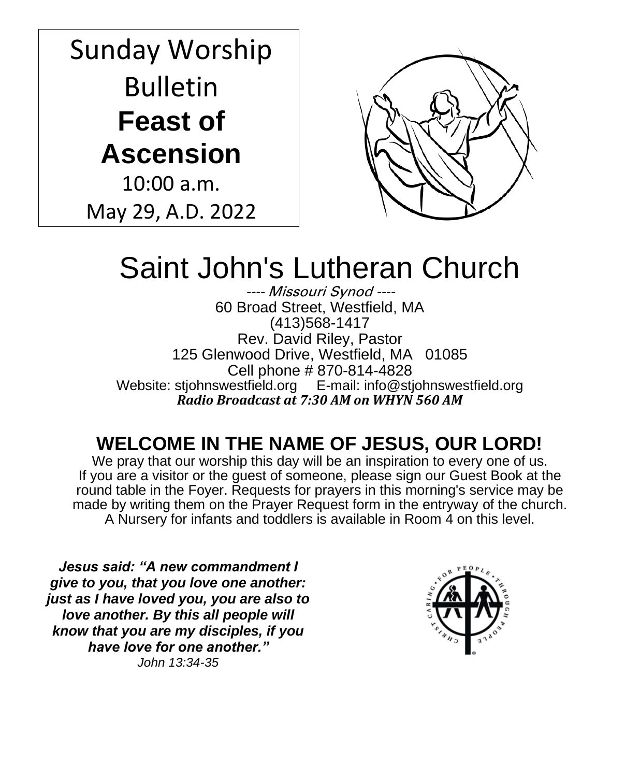# Sunday Worship Bulletin **Feast of Ascension**

10:00 a.m. May 29, A.D. 2022



# Saint John's Lutheran Church

---- Missouri Synod ---- 60 Broad Street, Westfield, MA (413)568-1417 Rev. David Riley, Pastor 125 Glenwood Drive, Westfield, MA 01085 Cell phone # 870-814-4828 Website: stjohnswestfield.org E-mail: info@stjohnswestfield.org *Radio Broadcast at 7:30 AM on WHYN 560 AM*

# **WELCOME IN THE NAME OF JESUS, OUR LORD!**

We pray that our worship this day will be an inspiration to every one of us. If you are a visitor or the guest of someone, please sign our Guest Book at the round table in the Foyer. Requests for prayers in this morning's service may be made by writing them on the Prayer Request form in the entryway of the church. A Nursery for infants and toddlers is available in Room 4 on this level.

*Jesus said: "A new commandment I give to you, that you love one another: just as I have loved you, you are also to love another. By this all people will know that you are my disciples, if you have love for one another." John 13:34-35*

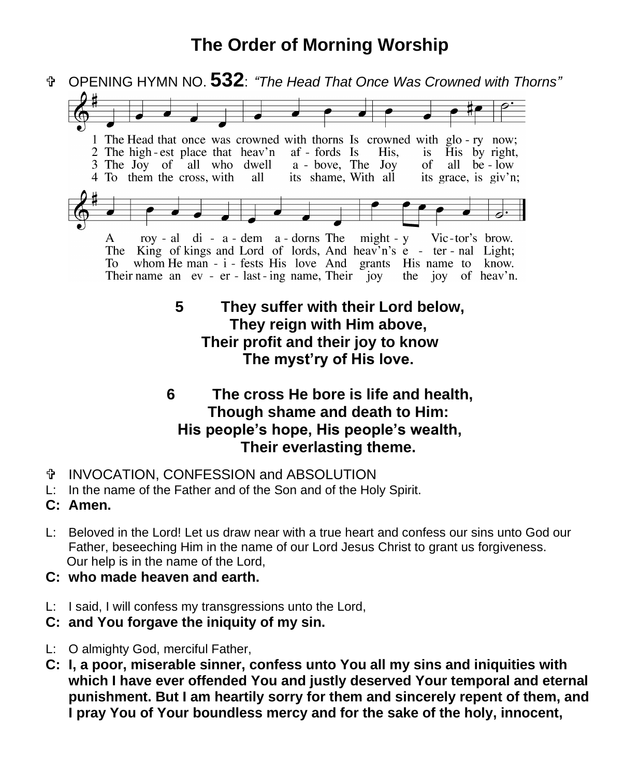# **The Order of Morning Worship**



**Their profit and their joy to know The myst'ry of His love.**

### **6 The cross He bore is life and health, Though shame and death to Him: His people's hope, His people's wealth, Their everlasting theme.**

- INVOCATION, CONFESSION and ABSOLUTION
- L: In the name of the Father and of the Son and of the Holy Spirit.
- **C: Amen.**
- L: Beloved in the Lord! Let us draw near with a true heart and confess our sins unto God our Father, beseeching Him in the name of our Lord Jesus Christ to grant us forgiveness. Our help is in the name of the Lord,
- **C: who made heaven and earth.**
- L: I said, I will confess my transgressions unto the Lord,
- **C: and You forgave the iniquity of my sin.**
- L: O almighty God, merciful Father,
- **C: I, a poor, miserable sinner, confess unto You all my sins and iniquities with which I have ever offended You and justly deserved Your temporal and eternal punishment. But I am heartily sorry for them and sincerely repent of them, and I pray You of Your boundless mercy and for the sake of the holy, innocent,**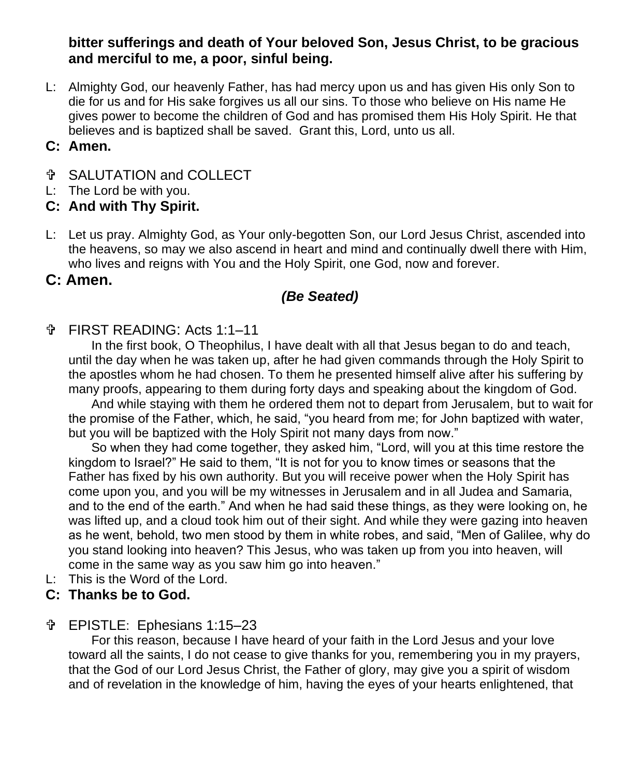**bitter sufferings and death of Your beloved Son, Jesus Christ, to be gracious and merciful to me, a poor, sinful being.** 

L: Almighty God, our heavenly Father, has had mercy upon us and has given His only Son to die for us and for His sake forgives us all our sins. To those who believe on His name He gives power to become the children of God and has promised them His Holy Spirit. He that believes and is baptized shall be saved. Grant this, Lord, unto us all.

#### **C: Amen.**

- SALUTATION and COLLECT
- L: The Lord be with you.
- **C: And with Thy Spirit.**
- L: Let us pray. Almighty God, as Your only-begotten Son, our Lord Jesus Christ, ascended into the heavens, so may we also ascend in heart and mind and continually dwell there with Him, who lives and reigns with You and the Holy Spirit, one God, now and forever.

#### **C: Amen.**

### *(Be Seated)*

#### FIRST READING: Acts 1:1–11

In the first book, O Theophilus, I have dealt with all that Jesus began to do and teach, until the day when he was taken up, after he had given commands through the Holy Spirit to the apostles whom he had chosen. To them he presented himself alive after his suffering by many proofs, appearing to them during forty days and speaking about the kingdom of God.

And while staying with them he ordered them not to depart from Jerusalem, but to wait for the promise of the Father, which, he said, "you heard from me; for John baptized with water, but you will be baptized with the Holy Spirit not many days from now."

So when they had come together, they asked him, "Lord, will you at this time restore the kingdom to Israel?" He said to them, "It is not for you to know times or seasons that the Father has fixed by his own authority. But you will receive power when the Holy Spirit has come upon you, and you will be my witnesses in Jerusalem and in all Judea and Samaria, and to the end of the earth." And when he had said these things, as they were looking on, he was lifted up, and a cloud took him out of their sight. And while they were gazing into heaven as he went, behold, two men stood by them in white robes, and said, "Men of Galilee, why do you stand looking into heaven? This Jesus, who was taken up from you into heaven, will come in the same way as you saw him go into heaven."

L: This is the Word of the Lord.

#### **C: Thanks be to God.**

#### EPISTLE: Ephesians 1:15–23

For this reason, because I have heard of your faith in the Lord Jesus and your love toward all the saints, I do not cease to give thanks for you, remembering you in my prayers, that the God of our Lord Jesus Christ, the Father of glory, may give you a spirit of wisdom and of revelation in the knowledge of him, having the eyes of your hearts enlightened, that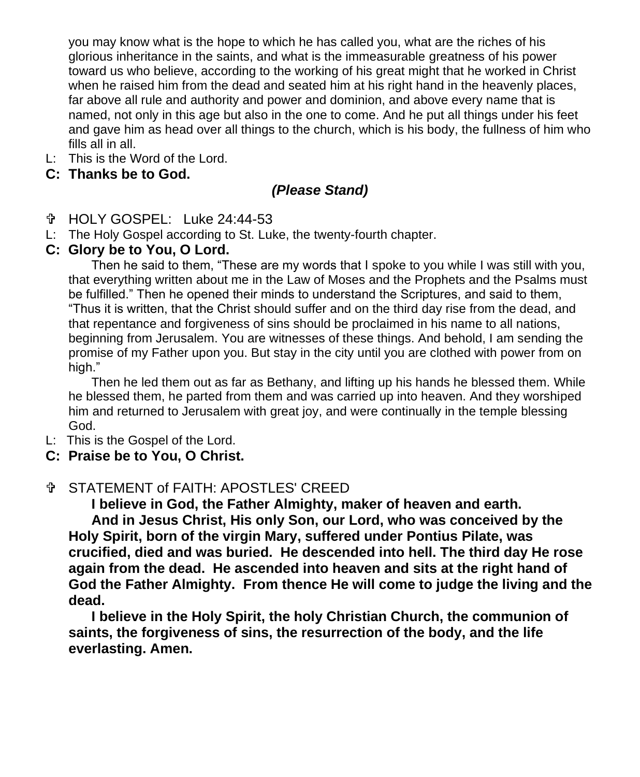you may know what is the hope to which he has called you, what are the riches of his glorious inheritance in the saints, and what is the immeasurable greatness of his power toward us who believe, according to the working of his great might that he worked in Christ when he raised him from the dead and seated him at his right hand in the heavenly places, far above all rule and authority and power and dominion, and above every name that is named, not only in this age but also in the one to come. And he put all things under his feet and gave him as head over all things to the church, which is his body, the fullness of him who fills all in all.

L: This is the Word of the Lord.

#### **C: Thanks be to God.**

#### *(Please Stand)*

HOLY GOSPEL:Luke 24:44-53

L: The Holy Gospel according to St. Luke, the twenty-fourth chapter.

#### **C: Glory be to You, O Lord.**

Then he said to them, "These are my words that I spoke to you while I was still with you, that everything written about me in the Law of Moses and the Prophets and the Psalms must be fulfilled." Then he opened their minds to understand the Scriptures, and said to them, "Thus it is written, that the Christ should suffer and on the third day rise from the dead, and that repentance and forgiveness of sins should be proclaimed in his name to all nations, beginning from Jerusalem. You are witnesses of these things. And behold, I am sending the promise of my Father upon you. But stay in the city until you are clothed with power from on high."

Then he led them out as far as Bethany, and lifting up his hands he blessed them. While he blessed them, he parted from them and was carried up into heaven. And they worshiped him and returned to Jerusalem with great joy, and were continually in the temple blessing God.

- L: This is the Gospel of the Lord.
- **C: Praise be to You, O Christ.**

#### STATEMENT of FAITH: APOSTLES' CREED

**I believe in God, the Father Almighty, maker of heaven and earth. And in Jesus Christ, His only Son, our Lord, who was conceived by the Holy Spirit, born of the virgin Mary, suffered under Pontius Pilate, was crucified, died and was buried. He descended into hell. The third day He rose again from the dead. He ascended into heaven and sits at the right hand of God the Father Almighty. From thence He will come to judge the living and the dead.**

 **I believe in the Holy Spirit, the holy Christian Church, the communion of saints, the forgiveness of sins, the resurrection of the body, and the life everlasting. Amen.**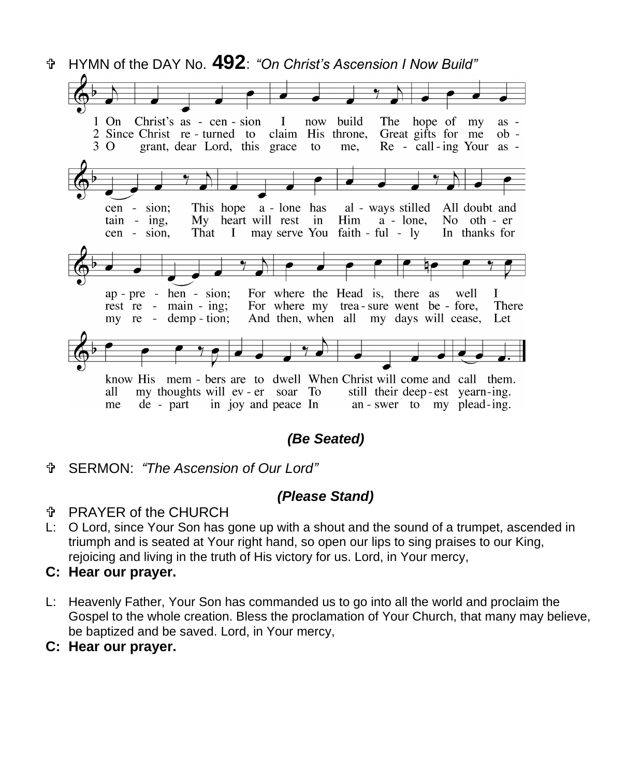

*(Be Seated)*

SERMON: *"The Ascension of Our Lord"*

#### *(Please Stand)*

#### PRAYER of the CHURCH

L: O Lord, since Your Son has gone up with a shout and the sound of a trumpet, ascended in triumph and is seated at Your right hand, so open our lips to sing praises to our King, rejoicing and living in the truth of His victory for us. Lord, in Your mercy,

#### **C: Hear our prayer.**

- L: Heavenly Father, Your Son has commanded us to go into all the world and proclaim the Gospel to the whole creation. Bless the proclamation of Your Church, that many may believe, be baptized and be saved. Lord, in Your mercy,
- **C: Hear our prayer.**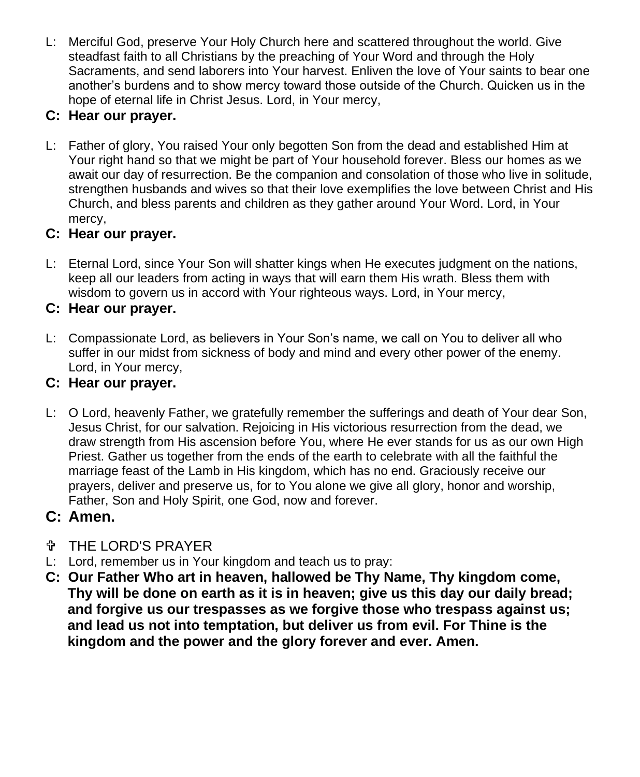L: Merciful God, preserve Your Holy Church here and scattered throughout the world. Give steadfast faith to all Christians by the preaching of Your Word and through the Holy Sacraments, and send laborers into Your harvest. Enliven the love of Your saints to bear one another's burdens and to show mercy toward those outside of the Church. Quicken us in the hope of eternal life in Christ Jesus. Lord, in Your mercy,

# **C: Hear our prayer.**

L: Father of glory, You raised Your only begotten Son from the dead and established Him at Your right hand so that we might be part of Your household forever. Bless our homes as we await our day of resurrection. Be the companion and consolation of those who live in solitude, strengthen husbands and wives so that their love exemplifies the love between Christ and His Church, and bless parents and children as they gather around Your Word. Lord, in Your mercy,

## **C: Hear our prayer.**

L: Eternal Lord, since Your Son will shatter kings when He executes judgment on the nations, keep all our leaders from acting in ways that will earn them His wrath. Bless them with wisdom to govern us in accord with Your righteous ways. Lord, in Your mercy,

## **C: Hear our prayer.**

L: Compassionate Lord, as believers in Your Son's name, we call on You to deliver all who suffer in our midst from sickness of body and mind and every other power of the enemy. Lord, in Your mercy,

# **C: Hear our prayer.**

L: O Lord, heavenly Father, we gratefully remember the sufferings and death of Your dear Son, Jesus Christ, for our salvation. Rejoicing in His victorious resurrection from the dead, we draw strength from His ascension before You, where He ever stands for us as our own High Priest. Gather us together from the ends of the earth to celebrate with all the faithful the marriage feast of the Lamb in His kingdom, which has no end. Graciously receive our prayers, deliver and preserve us, for to You alone we give all glory, honor and worship, Father, Son and Holy Spirit, one God, now and forever.

# **C: Amen.**

- THE LORD'S PRAYER
- L: Lord, remember us in Your kingdom and teach us to pray:
- **C: Our Father Who art in heaven, hallowed be Thy Name, Thy kingdom come, Thy will be done on earth as it is in heaven; give us this day our daily bread; and forgive us our trespasses as we forgive those who trespass against us; and lead us not into temptation, but deliver us from evil. For Thine is the kingdom and the power and the glory forever and ever. Amen.**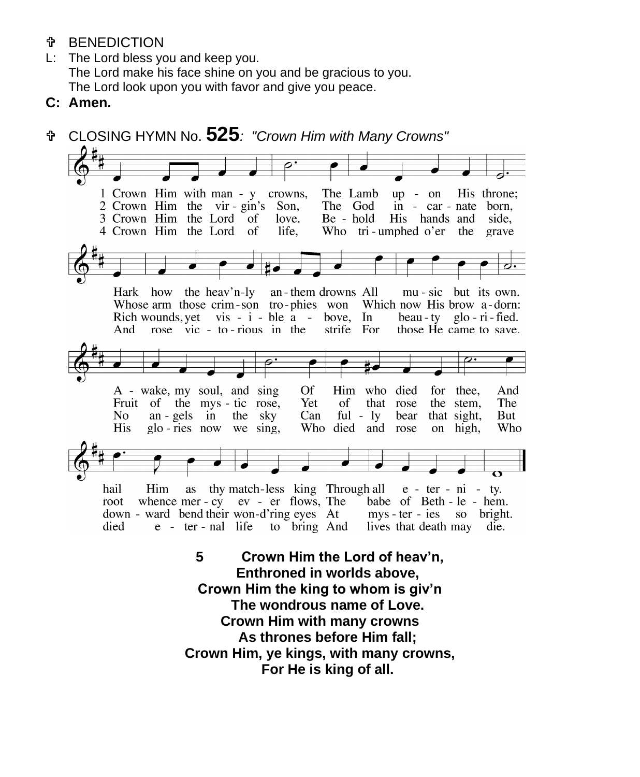- *T* BENEDICTION
- L: The Lord bless you and keep you. The Lord make his face shine on you and be gracious to you. The Lord look upon you with favor and give you peace.
- **C: Amen.**



 **As thrones before Him fall; Crown Him, ye kings, with many crowns, For He is king of all.**